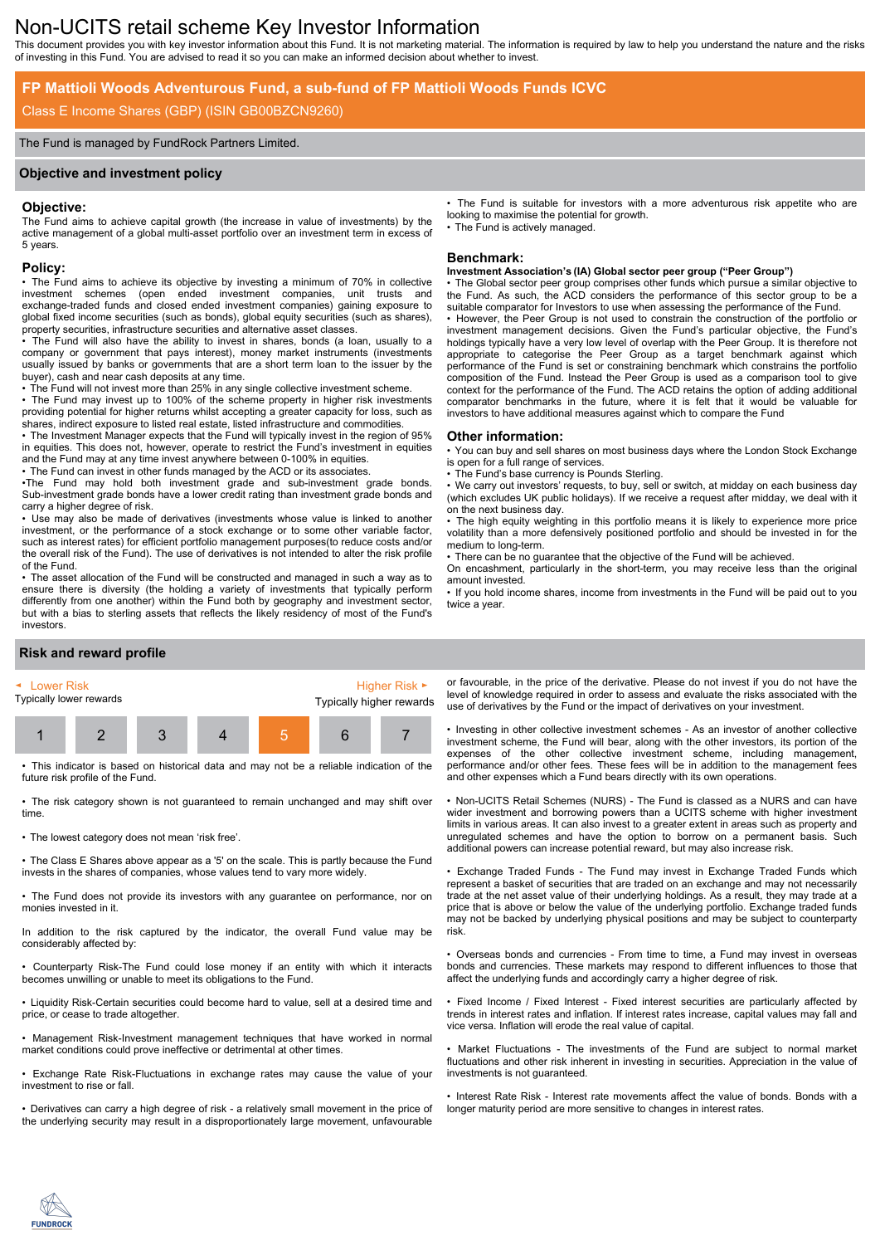# Non-UCITS retail scheme Key Investor Information

This document provides you with key investor information about this Fund. It is not marketing material. The information is required by law to help you understand the nature and the risks of investing in this Fund. You are advised to read it so you can make an informed decision about whether to invest.

## **FP Mattioli Woods Adventurous Fund, a sub-fund of FP Mattioli Woods Funds ICVC**

## Class E Income Shares (GBP) (ISIN GB00BZCN9260)

#### The Fund is managed by FundRock Partners Limited.

#### **Objective and investment policy**

#### **Objective:**

The Fund aims to achieve capital growth (the increase in value of investments) by the active management of a global multi-asset portfolio over an investment term in excess of 5 years.

#### **Policy:**

• The Fund aims to achieve its objective by investing a minimum of 70% in collective investment schemes (open ended investment companies, unit trusts and exchange-traded funds and closed ended investment companies) gaining exposure to global fixed income securities (such as bonds), global equity securities (such as shares), property securities, infrastructure securities and alternative asset classes.

• The Fund will also have the ability to invest in shares, bonds (a loan, usually to a company or government that pays interest), money market instruments (investments usually issued by banks or governments that are a short term loan to the issuer by the buyer), cash and near cash deposits at any time.

• The Fund will not invest more than 25% in any single collective investment scheme.

• The Fund may invest up to 100% of the scheme property in higher risk investments providing potential for higher returns whilst accepting a greater capacity for loss, such as shares, indirect exposure to listed real estate, listed infrastructure and commodities.

• The Investment Manager expects that the Fund will typically invest in the region of 95% in equities. This does not, however, operate to restrict the Fund's investment in equities and the Fund may at any time invest anywhere between 0-100% in equities.

• The Fund can invest in other funds managed by the ACD or its associates.

•The Fund may hold both investment grade and sub-investment grade bonds. Sub-investment grade bonds have a lower credit rating than investment grade bonds and carry a higher degree of risk.

• Use may also be made of derivatives (investments whose value is linked to another investment, or the performance of a stock exchange or to some other variable factor, such as interest rates) for efficient portfolio management purposes(to reduce costs and/or the overall risk of the Fund). The use of derivatives is not intended to alter the risk profile of the Fund.

• The asset allocation of the Fund will be constructed and managed in such a way as to ensure there is diversity (the holding a variety of investments that typically perform differently from one another) within the Fund both by geography and investment sector, but with a bias to sterling assets that reflects the likely residency of most of the Fund's investors.

## **Risk and reward profile**



• This indicator is based on historical data and may not be a reliable indication of the future risk profile of the Fund.

• The risk category shown is not guaranteed to remain unchanged and may shift over time.

• The lowest category does not mean 'risk free'.

• The Class E Shares above appear as a '5' on the scale. This is partly because the Fund invests in the shares of companies, whose values tend to vary more widely.

• The Fund does not provide its investors with any guarantee on performance, nor on monies invested in it.

In addition to the risk captured by the indicator, the overall Fund value may be considerably affected by:

• Counterparty Risk-The Fund could lose money if an entity with which it interacts becomes unwilling or unable to meet its obligations to the Fund.

• Liquidity Risk-Certain securities could become hard to value, sell at a desired time and price, or cease to trade altogether.

• Management Risk-Investment management techniques that have worked in normal market conditions could prove ineffective or detrimental at other times.

• Exchange Rate Risk-Fluctuations in exchange rates may cause the value of your investment to rise or fall.

• Derivatives can carry a high degree of risk - a relatively small movement in the price of the underlying security may result in a disproportionately large movement, unfavourable • The Fund is suitable for investors with a more adventurous risk appetite who are looking to maximise the potential for growth. The Fund is actively managed.

#### **Benchmark:**

### **Investment Association's (IA) Global sector peer group ("Peer Group")**

The Global sector peer group comprises other funds which pursue a similar objective to the Fund. As such, the ACD considers the performance of this sector group to be a suitable comparator for Investors to use when assessing the performance of the Fund. • However, the Peer Group is not used to constrain the construction of the portfolio or investment management decisions. Given the Fund's particular objective, the Fund's holdings typically have a very low level of overlap with the Peer Group. It is therefore not appropriate to categorise the Peer Group as a target benchmark against which performance of the Fund is set or constraining benchmark which constrains the portfolio composition of the Fund. Instead the Peer Group is used as a comparison tool to give context for the performance of the Fund. The ACD retains the option of adding additional comparator benchmarks in the future, where it is felt that it would be valuable for investors to have additional measures against which to compare the Fund

#### **Other information:**

• You can buy and sell shares on most business days where the London Stock Exchange is open for a full range of services.

The Fund's base currency is Pounds Sterling.

We carry out investors' requests, to buy, sell or switch, at midday on each business day (which excludes UK public holidays). If we receive a request after midday, we deal with it on the next business day.

• The high equity weighting in this portfolio means it is likely to experience more price volatility than a more defensively positioned portfolio and should be invested in for the medium to long-term.

• There can be no guarantee that the objective of the Fund will be achieved.

On encashment, particularly in the short-term, you may receive less than the original amount invested.

• If you hold income shares, income from investments in the Fund will be paid out to you twice a year.

or favourable, in the price of the derivative. Please do not invest if you do not have the level of knowledge required in order to assess and evaluate the risks associated with the use of derivatives by the Fund or the impact of derivatives on your investment.

• Investing in other collective investment schemes - As an investor of another collective investment scheme, the Fund will bear, along with the other investors, its portion of the expenses of the other collective investment scheme, including management, performance and/or other fees. These fees will be in addition to the management fees and other expenses which a Fund bears directly with its own operations.

• Non-UCITS Retail Schemes (NURS) - The Fund is classed as a NURS and can have wider investment and borrowing powers than a UCITS scheme with higher investment limits in various areas. It can also invest to a greater extent in areas such as property and unregulated schemes and have the option to borrow on a permanent basis. Such additional powers can increase potential reward, but may also increase risk.

• Exchange Traded Funds - The Fund may invest in Exchange Traded Funds which represent a basket of securities that are traded on an exchange and may not necessarily trade at the net asset value of their underlying holdings. As a result, they may trade at a price that is above or below the value of the underlying portfolio. Exchange traded funds may not be backed by underlying physical positions and may be subject to counterparty risk.

• Overseas bonds and currencies - From time to time, a Fund may invest in overseas bonds and currencies. These markets may respond to different influences to those that affect the underlying funds and accordingly carry a higher degree of risk.

• Fixed Income / Fixed Interest - Fixed interest securities are particularly affected by trends in interest rates and inflation. If interest rates increase, capital values may fall and vice versa. Inflation will erode the real value of capital.

Market Fluctuations - The investments of the Fund are subject to normal market fluctuations and other risk inherent in investing in securities. Appreciation in the value of investments is not guaranteed.

• Interest Rate Risk - Interest rate movements affect the value of bonds. Bonds with a longer maturity period are more sensitive to changes in interest rates.